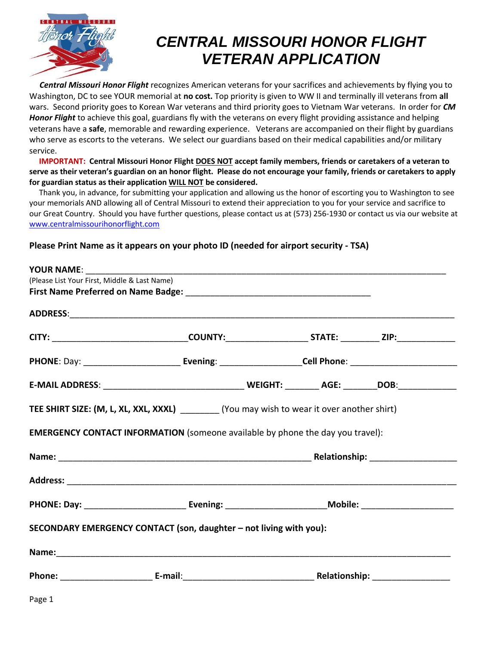

## *CENTRAL MISSOURI HONOR FLIGHT VETERAN APPLICATION*

 *Central Missouri Honor Flight* recognizes American veterans for your sacrifices and achievements by flying you to Washington, DC to see YOUR memorial at **no cost.** Top priority is given to WW II and terminally ill veterans from **all**  wars. Second priority goes to Korean War veterans and third priority goes to Vietnam War veterans. In order for *CM Honor Flight* to achieve this goal, guardians fly with the veterans on every flight providing assistance and helping veterans have a **safe**, memorable and rewarding experience. Veterans are accompanied on their flight by guardians who serve as escorts to the veterans. We select our guardians based on their medical capabilities and/or military service.

 **IMPORTANT: Central Missouri Honor Flight DOES NOT accept family members, friends or caretakers of a veteran to serve as their veteran's guardian on an honor flight. Please do not encourage your family, friends or caretakers to apply for guardian status as their application WILL NOT be considered.**

 Thank you, in advance, for submitting your application and allowing us the honor of escorting you to Washington to see your memorials AND allowing all of Central Missouri to extend their appreciation to you for your service and sacrifice to our Great Country. Should you have further questions, please contact us at (573) 256-1930 or contact us via our website at [www.centralmissourihonorflight.com](http://www.centralmissourihonorflight.com/) 

## **Please Print Name as it appears on your photo ID (needed for airport security - TSA)**

| <b>YOUR NAME:</b>                                                                            |  |  |
|----------------------------------------------------------------------------------------------|--|--|
| (Please List Your First, Middle & Last Name)                                                 |  |  |
|                                                                                              |  |  |
|                                                                                              |  |  |
|                                                                                              |  |  |
|                                                                                              |  |  |
|                                                                                              |  |  |
| TEE SHIRT SIZE: (M, L, XL, XXL, XXXL) _________ (You may wish to wear it over another shirt) |  |  |
| EMERGENCY CONTACT INFORMATION (someone available by phone the day you travel):               |  |  |
|                                                                                              |  |  |
|                                                                                              |  |  |
|                                                                                              |  |  |
| SECONDARY EMERGENCY CONTACT (son, daughter - not living with you):                           |  |  |
|                                                                                              |  |  |
|                                                                                              |  |  |
| Page 1                                                                                       |  |  |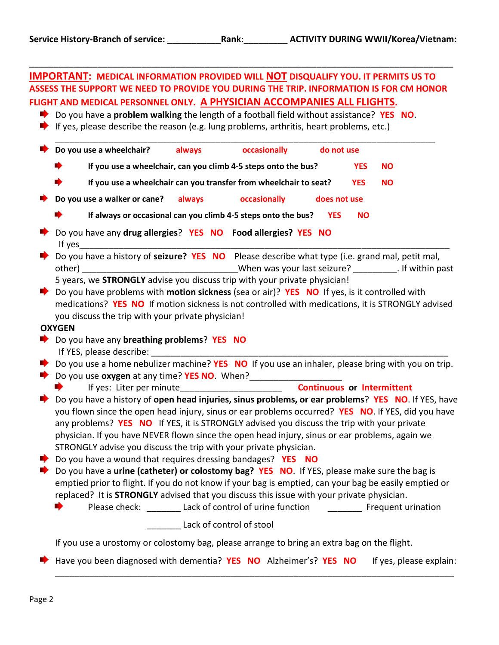|               |                                                                                                                         | ASSESS THE SUPPORT WE NEED TO PROVIDE YOU DURING THE TRIP. INFORMATION IS FOR CM HONOR   |              |            |           |
|---------------|-------------------------------------------------------------------------------------------------------------------------|------------------------------------------------------------------------------------------|--------------|------------|-----------|
|               | FLIGHT AND MEDICAL PERSONNEL ONLY. A PHYSICIAN ACCOMPANIES ALL FLIGHTS.                                                 |                                                                                          |              |            |           |
|               | Do you have a problem walking the length of a football field without assistance? YES NO.                                |                                                                                          |              |            |           |
|               | $\blacktriangleright$ If yes, please describe the reason (e.g. lung problems, arthritis, heart problems, etc.)          |                                                                                          |              |            |           |
|               | Do you use a wheelchair? always                                                                                         | occasionally                                                                             | do not use   |            |           |
|               |                                                                                                                         | If you use a wheelchair, can you climb 4-5 steps onto the bus?                           |              | <b>YES</b> | <b>NO</b> |
|               |                                                                                                                         | If you use a wheelchair can you transfer from wheelchair to seat?                        |              | <b>YES</b> | <b>NO</b> |
|               | Do you use a walker or cane? always                                                                                     | <b>Example 20 occasionally</b>                                                           | does not use |            |           |
|               |                                                                                                                         | If always or occasional can you climb 4-5 steps onto the bus? YES                        |              | <b>NO</b>  |           |
|               | Do you have any drug allergies? YES NO Food allergies? YES NO                                                           |                                                                                          |              |            |           |
|               |                                                                                                                         |                                                                                          |              |            |           |
|               | Do you have a history of seizure? YES NO Please describe what type (i.e. grand mal, petit mal,                          |                                                                                          |              |            |           |
|               |                                                                                                                         |                                                                                          |              |            |           |
|               | 5 years, we STRONGLY advise you discuss trip with your private physician!                                               |                                                                                          |              |            |           |
|               | Do you have problems with motion sickness (sea or air)? YES NO If yes, is it controlled with                            |                                                                                          |              |            |           |
|               | medications? YES NO If motion sickness is not controlled with medications, it is STRONGLY advised                       |                                                                                          |              |            |           |
|               |                                                                                                                         |                                                                                          |              |            |           |
|               |                                                                                                                         |                                                                                          |              |            |           |
|               | you discuss the trip with your private physician!                                                                       |                                                                                          |              |            |           |
|               |                                                                                                                         |                                                                                          |              |            |           |
|               | Do you have any breathing problems? YES NO                                                                              |                                                                                          |              |            |           |
|               |                                                                                                                         |                                                                                          |              |            |           |
|               | $\blacktriangleright$ Do you use a home nebulizer machine? YES NO If you use an inhaler, please bring with you on trip. |                                                                                          |              |            |           |
|               |                                                                                                                         |                                                                                          |              |            |           |
| <b>OXYGEN</b> |                                                                                                                         |                                                                                          |              |            |           |
|               |                                                                                                                         | If yes: Liter per minute___________________________________ Continuous or Intermittent   |              |            |           |
|               | Do you have a history of open head injuries, sinus problems, or ear problems? YES NO. If YES, have                      |                                                                                          |              |            |           |
|               | you flown since the open head injury, sinus or ear problems occurred? YES NO. If YES, did you have                      |                                                                                          |              |            |           |
|               | any problems? YES NO If YES, it is STRONGLY advised you discuss the trip with your private                              |                                                                                          |              |            |           |
|               | physician. If you have NEVER flown since the open head injury, sinus or ear problems, again we                          |                                                                                          |              |            |           |
|               | STRONGLY advise you discuss the trip with your private physician.                                                       |                                                                                          |              |            |           |
|               | $\bullet$ Do you have a wound that requires dressing bandages? YES NO                                                   |                                                                                          |              |            |           |
|               |                                                                                                                         |                                                                                          |              |            |           |
|               | Do you have a <b>urine (catheter) or colostomy bag? YES NO</b> . If YES, please make sure the bag is                    |                                                                                          |              |            |           |
|               | emptied prior to flight. If you do not know if your bag is emptied, can your bag be easily emptied or                   |                                                                                          |              |            |           |
|               | replaced? It is STRONGLY advised that you discuss this issue with your private physician.                               |                                                                                          |              |            |           |
|               |                                                                                                                         | Please check: ________ Lack of control of urine function ____________ Frequent urination |              |            |           |
|               |                                                                                                                         | Lack of control of stool                                                                 |              |            |           |
|               | If you use a urostomy or colostomy bag, please arrange to bring an extra bag on the flight.                             |                                                                                          |              |            |           |